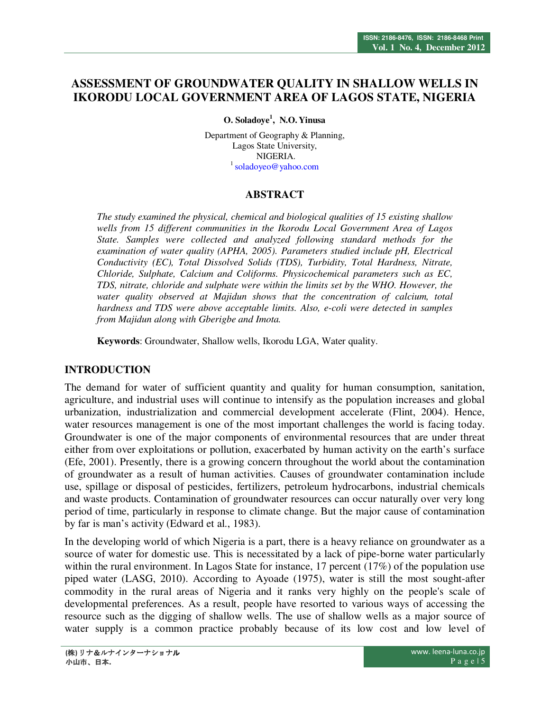# **ASSESSMENT OF GROUNDWATER QUALITY IN SHALLOW WELLS IN IKORODU LOCAL GOVERNMENT AREA OF LAGOS STATE, NIGERIA**

**O. Soladoye<sup>1</sup> , N.O. Yinusa**

Department of Geography & Planning. Lagos State University, NIGERIA. <sup>1</sup> soladoyeo@yahoo.com

## **ABSTRACT**

*The study examined the physical, chemical and biological qualities of 15 existing shallow wells from 15 different communities in the Ikorodu Local Government Area of Lagos State. Samples were collected and analyzed following standard methods for the examination of water quality (APHA, 2005). Parameters studied include pH, Electrical Conductivity (EC), Total Dissolved Solids (TDS), Turbidity, Total Hardness, Nitrate, Chloride, Sulphate, Calcium and Coliforms. Physicochemical parameters such as EC, TDS, nitrate, chloride and sulphate were within the limits set by the WHO. However, the*  water quality observed at Majidun shows that the concentration of calcium, total *hardness and TDS were above acceptable limits. Also, e-coli were detected in samples from Majidun along with Gberigbe and Imota.* 

**Keywords**: Groundwater, Shallow wells, Ikorodu LGA, Water quality.

#### **INTRODUCTION**

The demand for water of sufficient quantity and quality for human consumption, sanitation, agriculture, and industrial uses will continue to intensify as the population increases and global urbanization, industrialization and commercial development accelerate (Flint, 2004). Hence, water resources management is one of the most important challenges the world is facing today. Groundwater is one of the major components of environmental resources that are under threat either from over exploitations or pollution, exacerbated by human activity on the earth's surface (Efe, 2001). Presently, there is a growing concern throughout the world about the contamination of groundwater as a result of human activities. Causes of groundwater contamination include use, spillage or disposal of pesticides, fertilizers, petroleum hydrocarbons, industrial chemicals and waste products. Contamination of groundwater resources can occur naturally over very long period of time, particularly in response to climate change. But the major cause of contamination by far is man's activity (Edward et al., 1983).

In the developing world of which Nigeria is a part, there is a heavy reliance on groundwater as a source of water for domestic use. This is necessitated by a lack of pipe-borne water particularly within the rural environment. In Lagos State for instance, 17 percent (17%) of the population use piped water (LASG, 2010). According to Ayoade (1975), water is still the most sought-after commodity in the rural areas of Nigeria and it ranks very highly on the people's scale of developmental preferences. As a result, people have resorted to various ways of accessing the resource such as the digging of shallow wells. The use of shallow wells as a major source of water supply is a common practice probably because of its low cost and low level of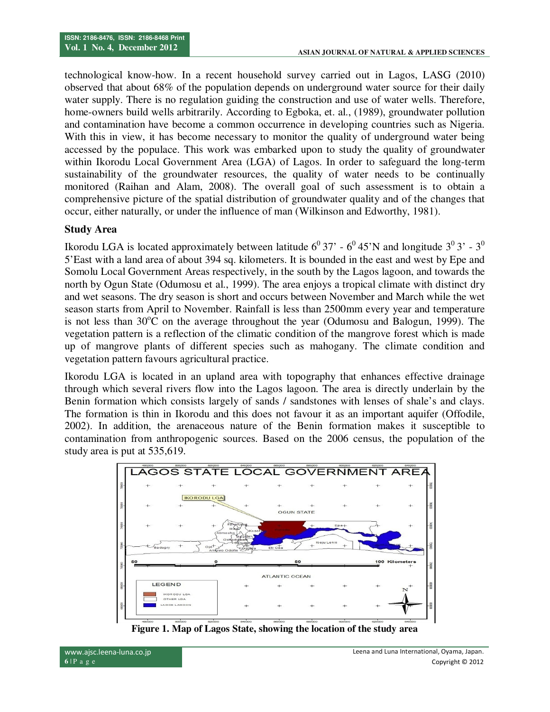technological know-how. In a recent household survey carried out in Lagos, LASG (2010) observed that about 68% of the population depends on underground water source for their daily water supply. There is no regulation guiding the construction and use of water wells. Therefore, home-owners build wells arbitrarily. According to Egboka, et. al., (1989), groundwater pollution and contamination have become a common occurrence in developing countries such as Nigeria. With this in view, it has become necessary to monitor the quality of underground water being accessed by the populace. This work was embarked upon to study the quality of groundwater within Ikorodu Local Government Area (LGA) of Lagos. In order to safeguard the long-term sustainability of the groundwater resources, the quality of water needs to be continually monitored (Raihan and Alam, 2008). The overall goal of such assessment is to obtain a comprehensive picture of the spatial distribution of groundwater quality and of the changes that occur, either naturally, or under the influence of man (Wilkinson and Edworthy, 1981).

#### **Study Area**

Ikorodu LGA is located approximately between latitude  $6^0$  37' -  $6^0$  45'N and longitude  $3^0$  3' -  $3^0$ 5'East with a land area of about 394 sq. kilometers. It is bounded in the east and west by Epe and Somolu Local Government Areas respectively, in the south by the Lagos lagoon, and towards the north by Ogun State (Odumosu et al., 1999). The area enjoys a tropical climate with distinct dry and wet seasons. The dry season is short and occurs between November and March while the wet season starts from April to November. Rainfall is less than 2500mm every year and temperature is not less than  $30^{\circ}$ C on the average throughout the year (Odumosu and Balogun, 1999). The vegetation pattern is a reflection of the climatic condition of the mangrove forest which is made up of mangrove plants of different species such as mahogany. The climate condition and vegetation pattern favours agricultural practice.

Ikorodu LGA is located in an upland area with topography that enhances effective drainage through which several rivers flow into the Lagos lagoon. The area is directly underlain by the Benin formation which consists largely of sands / sandstones with lenses of shale's and clays. The formation is thin in Ikorodu and this does not favour it as an important aquifer (Offodile, 2002). In addition, the arenaceous nature of the Benin formation makes it susceptible to contamination from anthropogenic sources. Based on the 2006 census, the population of the study area is put at 535,619.



**Figure 1. Map of Lagos State, showing the location of the study area**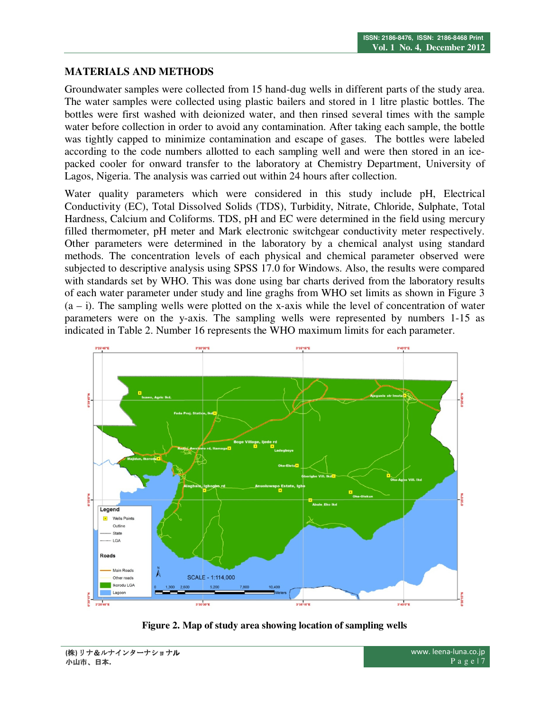## **MATERIALS AND METHODS**

Groundwater samples were collected from 15 hand-dug wells in different parts of the study area. The water samples were collected using plastic bailers and stored in 1 litre plastic bottles. The bottles were first washed with deionized water, and then rinsed several times with the sample water before collection in order to avoid any contamination. After taking each sample, the bottle was tightly capped to minimize contamination and escape of gases. The bottles were labeled according to the code numbers allotted to each sampling well and were then stored in an icepacked cooler for onward transfer to the laboratory at Chemistry Department, University of Lagos, Nigeria. The analysis was carried out within 24 hours after collection.

Water quality parameters which were considered in this study include pH, Electrical Conductivity (EC), Total Dissolved Solids (TDS), Turbidity, Nitrate, Chloride, Sulphate, Total Hardness, Calcium and Coliforms. TDS, pH and EC were determined in the field using mercury filled thermometer, pH meter and Mark electronic switchgear conductivity meter respectively. Other parameters were determined in the laboratory by a chemical analyst using standard methods. The concentration levels of each physical and chemical parameter observed were subjected to descriptive analysis using SPSS 17.0 for Windows. Also, the results were compared with standards set by WHO. This was done using bar charts derived from the laboratory results of each water parameter under study and line graghs from WHO set limits as shown in Figure 3  $(a - i)$ . The sampling wells were plotted on the x-axis while the level of concentration of water parameters were on the y-axis. The sampling wells were represented by numbers 1-15 as indicated in Table 2. Number 16 represents the WHO maximum limits for each parameter.



**Figure 2. Map of study area showing location of sampling wells**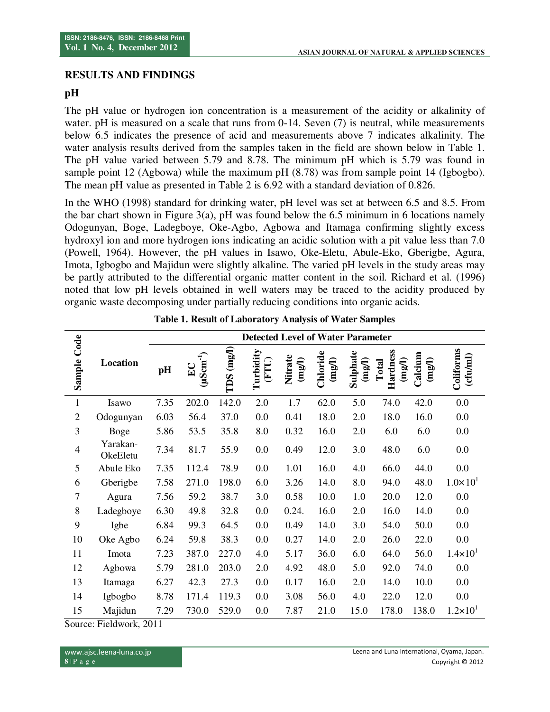## **RESULTS AND FINDINGS**

## **pH**

The pH value or hydrogen ion concentration is a measurement of the acidity or alkalinity of water. pH is measured on a scale that runs from 0-14. Seven (7) is neutral, while measurements below 6.5 indicates the presence of acid and measurements above 7 indicates alkalinity. The water analysis results derived from the samples taken in the field are shown below in Table 1. The pH value varied between 5.79 and 8.78. The minimum pH which is 5.79 was found in sample point 12 (Agbowa) while the maximum pH (8.78) was from sample point 14 (Igbogbo). The mean pH value as presented in Table 2 is 6.92 with a standard deviation of 0.826.

In the WHO (1998) standard for drinking water, pH level was set at between 6.5 and 8.5. From the bar chart shown in Figure 3(a), pH was found below the 6.5 minimum in 6 locations namely Odogunyan, Boge, Ladegboye, Oke-Agbo, Agbowa and Itamaga confirming slightly excess hydroxyl ion and more hydrogen ions indicating an acidic solution with a pit value less than 7.0 (Powell, 1964). However, the pH values in Isawo, Oke-Eletu, Abule-Eko, Gberigbe, Agura, Imota, Igbogbo and Majidun were slightly alkaline. The varied pH levels in the study areas may be partly attributed to the differential organic matter content in the soil. Richard et al. (1996) noted that low pH levels obtained in well waters may be traced to the acidity produced by organic waste decomposing under partially reducing conditions into organic acids.

|                | <b>Detected Level of Water Parameter</b> |      |                                 |                          |                    |                            |                               |                               |                                      |                            |                       |
|----------------|------------------------------------------|------|---------------------------------|--------------------------|--------------------|----------------------------|-------------------------------|-------------------------------|--------------------------------------|----------------------------|-----------------------|
| Sample Code    | Location                                 | pH   | $(\mu Sam^{-1})$<br>$E_{\rm C}$ | $(\mathrm{mg/l})$<br>TDS | Turbidity<br>(FTU) | Nitrate<br>$(\text{mg/l})$ | Chloride<br>$(\mathrm{mg/l})$ | Sulphate<br>$(\mathrm{mg/l})$ | Hardness<br>$(\text{map1})$<br>Total | Calcium<br>$(\text{mg/l})$ | Coliforms<br>(cfulml) |
| $\mathbf{1}$   | Isawo                                    | 7.35 | 202.0                           | 142.0                    | 2.0                | 1.7                        | 62.0                          | 5.0                           | 74.0                                 | 42.0                       | 0.0                   |
| $\overline{2}$ | Odogunyan                                | 6.03 | 56.4                            | 37.0                     | 0.0                | 0.41                       | 18.0                          | 2.0                           | 18.0                                 | 16.0                       | 0.0                   |
| 3              | <b>Boge</b>                              | 5.86 | 53.5                            | 35.8                     | 8.0                | 0.32                       | 16.0                          | 2.0                           | 6.0                                  | 6.0                        | 0.0                   |
| $\overline{4}$ | Yarakan-<br>OkeEletu                     | 7.34 | 81.7                            | 55.9                     | 0.0                | 0.49                       | 12.0                          | 3.0                           | 48.0                                 | 6.0                        | 0.0                   |
| 5              | Abule Eko                                | 7.35 | 112.4                           | 78.9                     | 0.0                | 1.01                       | 16.0                          | 4.0                           | 66.0                                 | 44.0                       | 0.0                   |
| 6              | Gberigbe                                 | 7.58 | 271.0                           | 198.0                    | 6.0                | 3.26                       | 14.0                          | 8.0                           | 94.0                                 | 48.0                       | $1.0\times101$        |
| $\tau$         | Agura                                    | 7.56 | 59.2                            | 38.7                     | 3.0                | 0.58                       | 10.0                          | 1.0                           | 20.0                                 | 12.0                       | 0.0                   |
| 8              | Ladegboye                                | 6.30 | 49.8                            | 32.8                     | 0.0                | 0.24.                      | 16.0                          | 2.0                           | 16.0                                 | 14.0                       | 0.0                   |
| 9              | Igbe                                     | 6.84 | 99.3                            | 64.5                     | 0.0                | 0.49                       | 14.0                          | 3.0                           | 54.0                                 | 50.0                       | 0.0                   |
| 10             | Oke Agbo                                 | 6.24 | 59.8                            | 38.3                     | 0.0                | 0.27                       | 14.0                          | 2.0                           | 26.0                                 | 22.0                       | 0.0                   |
| 11             | Imota                                    | 7.23 | 387.0                           | 227.0                    | 4.0                | 5.17                       | 36.0                          | 6.0                           | 64.0                                 | 56.0                       | $1.4 \times 10^{1}$   |
| 12             | Agbowa                                   | 5.79 | 281.0                           | 203.0                    | 2.0                | 4.92                       | 48.0                          | 5.0                           | 92.0                                 | 74.0                       | 0.0                   |
| 13             | Itamaga                                  | 6.27 | 42.3                            | 27.3                     | 0.0                | 0.17                       | 16.0                          | 2.0                           | 14.0                                 | 10.0                       | 0.0                   |
| 14             | Igbogbo                                  | 8.78 | 171.4                           | 119.3                    | 0.0                | 3.08                       | 56.0                          | 4.0                           | 22.0                                 | 12.0                       | 0.0                   |
| 15             | Majidun                                  | 7.29 | 730.0                           | 529.0                    | 0.0                | 7.87                       | 21.0                          | 15.0                          | 178.0                                | 138.0                      | $1.2 \times 10^{1}$   |

| <b>Table 1. Result of Laboratory Analysis of Water Samples</b> |  |
|----------------------------------------------------------------|--|
|----------------------------------------------------------------|--|

Source: Fieldwork, 2011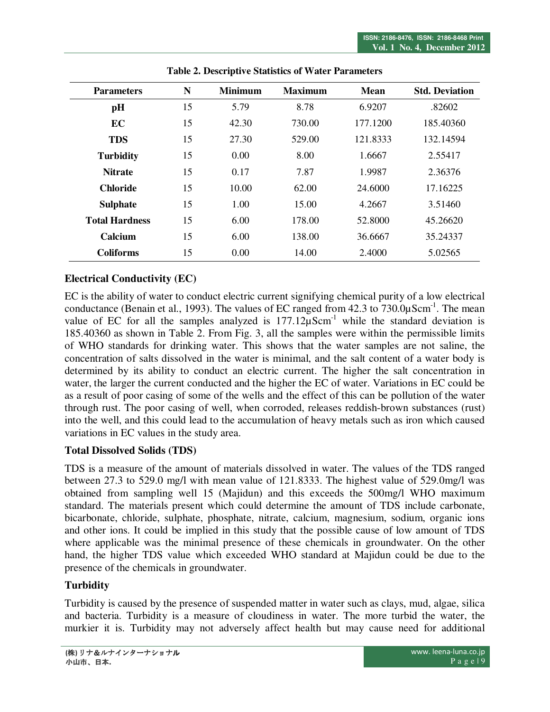| <b>Parameters</b>     | N  | <b>Minimum</b> | <b>Maximum</b> | <b>Mean</b> | <b>Std. Deviation</b> |  |
|-----------------------|----|----------------|----------------|-------------|-----------------------|--|
| pH                    | 15 | 5.79           | 8.78           | 6.9207      | .82602                |  |
| EC                    | 15 | 42.30          | 730.00         | 177.1200    | 185.40360             |  |
| <b>TDS</b>            | 15 | 27.30          | 529.00         | 121.8333    | 132.14594             |  |
| <b>Turbidity</b>      | 15 | 0.00           | 8.00           | 1.6667      | 2.55417               |  |
| <b>Nitrate</b>        | 15 | 0.17           | 7.87           | 1.9987      | 2.36376               |  |
| <b>Chloride</b>       | 15 | 10.00          | 62.00          | 24.6000     | 17.16225              |  |
| <b>Sulphate</b>       | 15 | 1.00           | 15.00          | 4.2667      | 3.51460               |  |
| <b>Total Hardness</b> | 15 | 6.00           | 178.00         | 52.8000     | 45.26620              |  |
| Calcium               | 15 | 6.00           | 138.00         | 36.6667     | 35.24337              |  |
| <b>Coliforms</b>      | 15 | 0.00           | 14.00          | 2.4000      | 5.02565               |  |

**Table 2. Descriptive Statistics of Water Parameters** 

# **Electrical Conductivity (EC)**

EC is the ability of water to conduct electric current signifying chemical purity of a low electrical conductance (Benain et al., 1993). The values of EC ranged from  $42.3$  to  $730.0\mu\text{Scm}^{-1}$ . The mean value of EC for all the samples analyzed is  $177.12\mu\text{Scm}^{-1}$  while the standard deviation is 185.40360 as shown in Table 2. From Fig. 3, all the samples were within the permissible limits of WHO standards for drinking water. This shows that the water samples are not saline, the concentration of salts dissolved in the water is minimal, and the salt content of a water body is determined by its ability to conduct an electric current. The higher the salt concentration in water, the larger the current conducted and the higher the EC of water. Variations in EC could be as a result of poor casing of some of the wells and the effect of this can be pollution of the water through rust. The poor casing of well, when corroded, releases reddish-brown substances (rust) into the well, and this could lead to the accumulation of heavy metals such as iron which caused variations in EC values in the study area.

#### **Total Dissolved Solids (TDS)**

TDS is a measure of the amount of materials dissolved in water. The values of the TDS ranged between 27.3 to 529.0 mg/l with mean value of 121.8333. The highest value of 529.0mg/l was obtained from sampling well 15 (Majidun) and this exceeds the 500mg/l WHO maximum standard. The materials present which could determine the amount of TDS include carbonate, bicarbonate, chloride, sulphate, phosphate, nitrate, calcium, magnesium, sodium, organic ions and other ions. It could be implied in this study that the possible cause of low amount of TDS where applicable was the minimal presence of these chemicals in groundwater. On the other hand, the higher TDS value which exceeded WHO standard at Majidun could be due to the presence of the chemicals in groundwater.

## **Turbidity**

Turbidity is caused by the presence of suspended matter in water such as clays, mud, algae, silica and bacteria. Turbidity is a measure of cloudiness in water. The more turbid the water, the murkier it is. Turbidity may not adversely affect health but may cause need for additional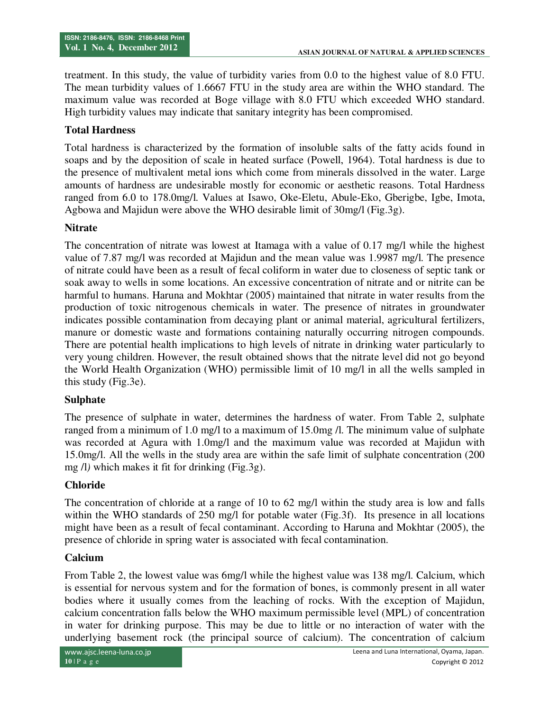treatment. In this study, the value of turbidity varies from 0.0 to the highest value of 8.0 FTU. The mean turbidity values of 1.6667 FTU in the study area are within the WHO standard. The maximum value was recorded at Boge village with 8.0 FTU which exceeded WHO standard. High turbidity values may indicate that sanitary integrity has been compromised.

## **Total Hardness**

Total hardness is characterized by the formation of insoluble salts of the fatty acids found in soaps and by the deposition of scale in heated surface (Powell, 1964). Total hardness is due to the presence of multivalent metal ions which come from minerals dissolved in the water. Large amounts of hardness are undesirable mostly for economic or aesthetic reasons. Total Hardness ranged from 6.0 to 178.0mg/l. Values at Isawo, Oke-Eletu, Abule-Eko, Gberigbe, Igbe, Imota, Agbowa and Majidun were above the WHO desirable limit of 30mg/l (Fig.3g).

## **Nitrate**

The concentration of nitrate was lowest at Itamaga with a value of 0.17 mg/l while the highest value of 7.87 mg/l was recorded at Majidun and the mean value was 1.9987 mg/l. The presence of nitrate could have been as a result of fecal coliform in water due to closeness of septic tank or soak away to wells in some locations. An excessive concentration of nitrate and or nitrite can be harmful to humans. Haruna and Mokhtar (2005) maintained that nitrate in water results from the production of toxic nitrogenous chemicals in water. The presence of nitrates in groundwater indicates possible contamination from decaying plant or animal material, agricultural fertilizers, manure or domestic waste and formations containing naturally occurring nitrogen compounds. There are potential health implications to high levels of nitrate in drinking water particularly to very young children. However, the result obtained shows that the nitrate level did not go beyond the World Health Organization (WHO) permissible limit of 10 mg/l in all the wells sampled in this study (Fig.3e).

## **Sulphate**

The presence of sulphate in water, determines the hardness of water. From Table 2, sulphate ranged from a minimum of 1.0 mg/l to a maximum of 15.0mg /l. The minimum value of sulphate was recorded at Agura with 1.0mg/l and the maximum value was recorded at Majidun with 15.0mg/l. All the wells in the study area are within the safe limit of sulphate concentration (200 mg /l*)* which makes it fit for drinking (Fig.3g).

## **Chloride**

The concentration of chloride at a range of 10 to 62 mg/l within the study area is low and falls within the WHO standards of 250 mg/l for potable water (Fig.3f). Its presence in all locations might have been as a result of fecal contaminant. According to Haruna and Mokhtar (2005), the presence of chloride in spring water is associated with fecal contamination.

## **Calcium**

From Table 2, the lowest value was 6mg/l while the highest value was 138 mg/l. Calcium, which is essential for nervous system and for the formation of bones, is commonly present in all water bodies where it usually comes from the leaching of rocks. With the exception of Majidun, calcium concentration falls below the WHO maximum permissible level (MPL) of concentration in water for drinking purpose. This may be due to little or no interaction of water with the underlying basement rock (the principal source of calcium). The concentration of calcium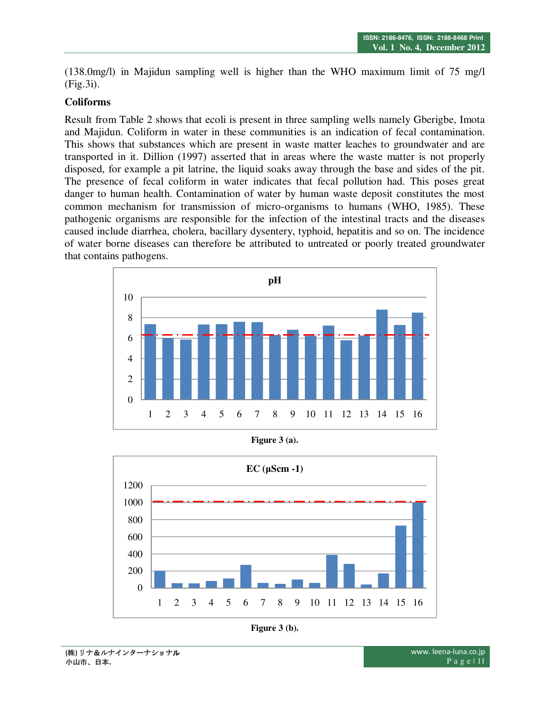(138.0mg/l) in Majidun sampling well is higher than the WHO maximum limit of 75 mg/l (Fig.3i).

#### **Coliforms**

Result from Table 2 shows that ecoli is present in three sampling wells namely Gberigbe, Imota and Majidun. Coliform in water in these communities is an indication of fecal contamination. This shows that substances which are present in waste matter leaches to groundwater and are transported in it. Dillion (1997) asserted that in areas where the waste matter is not properly disposed, for example a pit latrine, the liquid soaks away through the base and sides of the pit. The presence of fecal coliform in water indicates that fecal pollution had. This poses great danger to human health. Contamination of water by human waste deposit constitutes the most common mechanism for transmission of micro-organisms to humans (WHO, 1985). These pathogenic organisms are responsible for the infection of the intestinal tracts and the diseases caused include diarrhea, cholera, bacillary dysentery, typhoid, hepatitis and so on. The incidence of water borne diseases can therefore be attributed to untreated or poorly treated groundwater that contains pathogens.



**Figure 3 (a).** 



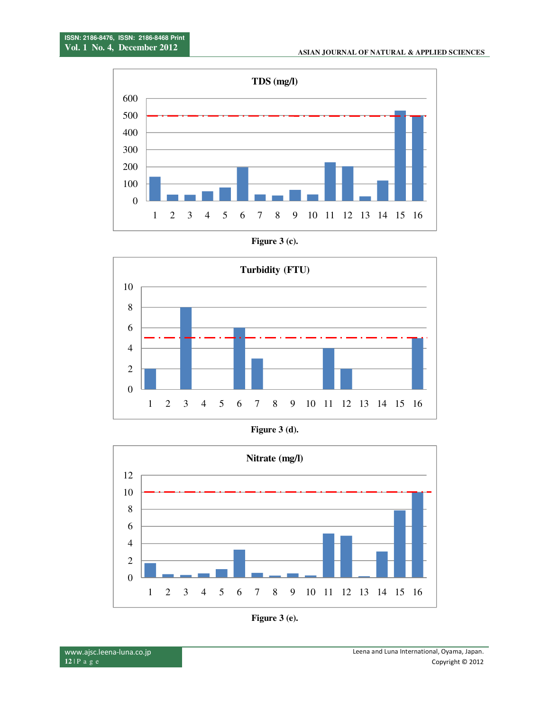

**Figure 3 (c).**



**Figure 3 (d).** 



**Figure 3 (e).**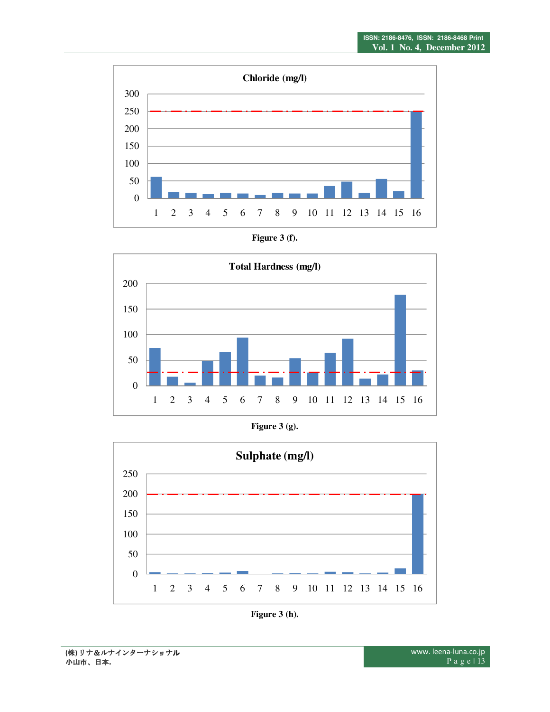





**Figure 3 (g).** 



**Figure 3 (h).**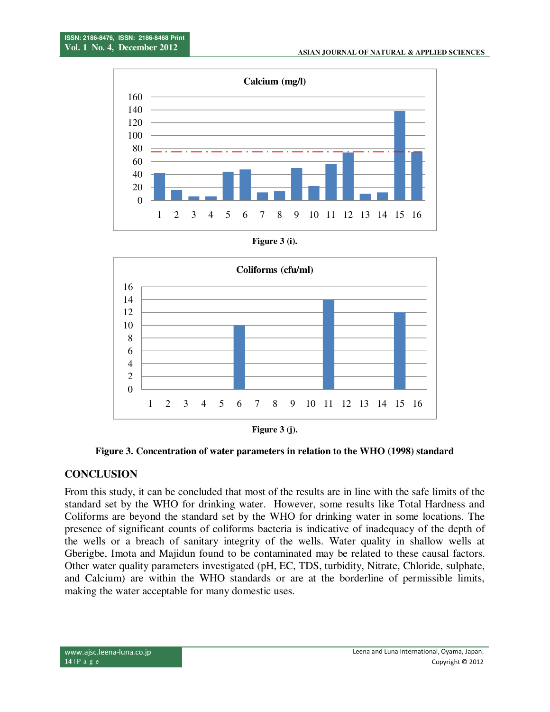

**Figure 3 (i).** 



**Figure 3 (j).** 

**Figure 3. Concentration of water parameters in relation to the WHO (1998) standard**

#### **CONCLUSION**

From this study, it can be concluded that most of the results are in line with the safe limits of the standard set by the WHO for drinking water. However, some results like Total Hardness and Coliforms are beyond the standard set by the WHO for drinking water in some locations. The presence of significant counts of coliforms bacteria is indicative of inadequacy of the depth of the wells or a breach of sanitary integrity of the wells. Water quality in shallow wells at Gberigbe, Imota and Majidun found to be contaminated may be related to these causal factors. Other water quality parameters investigated (pH, EC, TDS, turbidity, Nitrate, Chloride, sulphate, and Calcium) are within the WHO standards or are at the borderline of permissible limits, making the water acceptable for many domestic uses.